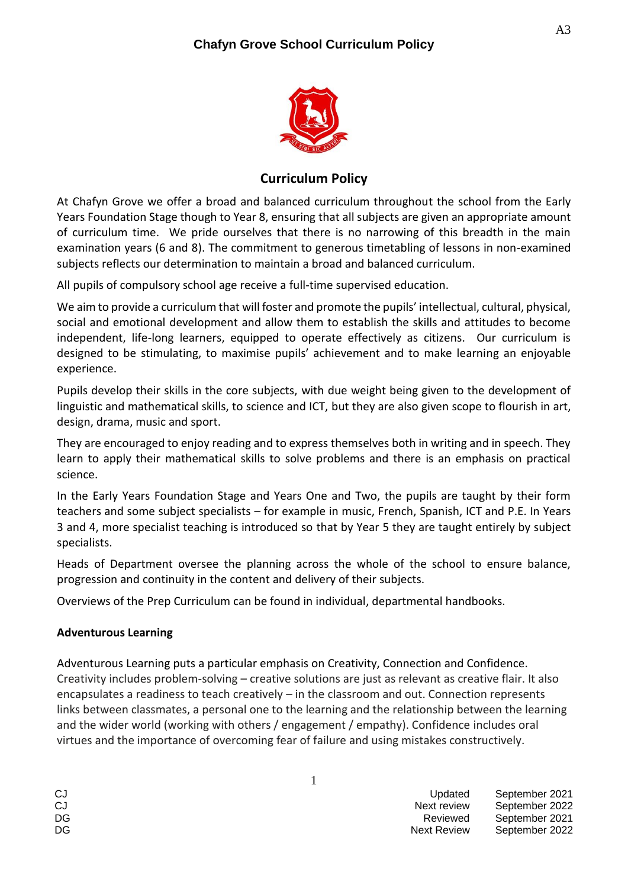

# **Curriculum Policy**

At Chafyn Grove we offer a broad and balanced curriculum throughout the school from the Early Years Foundation Stage though to Year 8, ensuring that all subjects are given an appropriate amount of curriculum time. We pride ourselves that there is no narrowing of this breadth in the main examination years (6 and 8). The commitment to generous timetabling of lessons in non-examined subjects reflects our determination to maintain a broad and balanced curriculum.

All pupils of compulsory school age receive a full-time supervised education.

We aim to provide a curriculum that will foster and promote the pupils' intellectual, cultural, physical, social and emotional development and allow them to establish the skills and attitudes to become independent, life-long learners, equipped to operate effectively as citizens. Our curriculum is designed to be stimulating, to maximise pupils' achievement and to make learning an enjoyable experience.

Pupils develop their skills in the core subjects, with due weight being given to the development of linguistic and mathematical skills, to science and ICT, but they are also given scope to flourish in art, design, drama, music and sport.

They are encouraged to enjoy reading and to express themselves both in writing and in speech. They learn to apply their mathematical skills to solve problems and there is an emphasis on practical science.

In the Early Years Foundation Stage and Years One and Two, the pupils are taught by their form teachers and some subject specialists – for example in music, French, Spanish, ICT and P.E. In Years 3 and 4, more specialist teaching is introduced so that by Year 5 they are taught entirely by subject specialists.

Heads of Department oversee the planning across the whole of the school to ensure balance, progression and continuity in the content and delivery of their subjects.

Overviews of the Prep Curriculum can be found in individual, departmental handbooks.

### **Adventurous Learning**

Adventurous Learning puts a particular emphasis on Creativity, Connection and Confidence. Creativity includes problem-solving – creative solutions are just as relevant as creative flair. It also encapsulates a readiness to teach creatively – in the classroom and out. Connection represents links between classmates, a personal one to the learning and the relationship between the learning and the wider world (working with others / engagement / empathy). Confidence includes oral virtues and the importance of overcoming fear of failure and using mistakes constructively.

| C.I |  |
|-----|--|
| C.I |  |
| DG  |  |
| DG  |  |

Updated September 2021 Next review September 2022 Reviewed September 2021 Next Review September 2022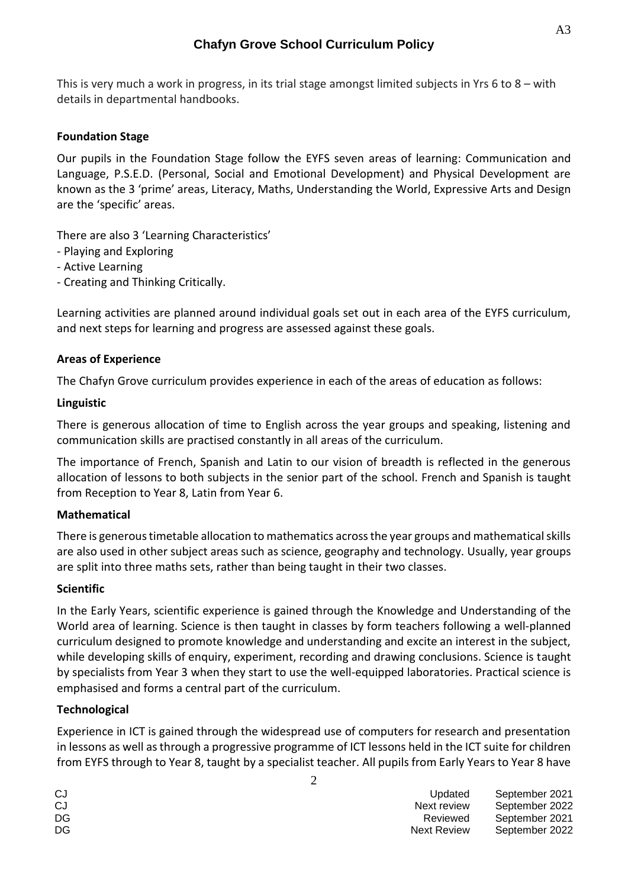This is very much a work in progress, in its trial stage amongst limited subjects in Yrs 6 to 8 – with details in departmental handbooks.

## **Foundation Stage**

Our pupils in the Foundation Stage follow the EYFS seven areas of learning: Communication and Language, P.S.E.D. (Personal, Social and Emotional Development) and Physical Development are known as the 3 'prime' areas, Literacy, Maths, Understanding the World, Expressive Arts and Design are the 'specific' areas.

There are also 3 'Learning Characteristics'

- Playing and Exploring
- Active Learning
- Creating and Thinking Critically.

Learning activities are planned around individual goals set out in each area of the EYFS curriculum, and next steps for learning and progress are assessed against these goals.

### **Areas of Experience**

The Chafyn Grove curriculum provides experience in each of the areas of education as follows:

#### **Linguistic**

There is generous allocation of time to English across the year groups and speaking, listening and communication skills are practised constantly in all areas of the curriculum.

The importance of French, Spanish and Latin to our vision of breadth is reflected in the generous allocation of lessons to both subjects in the senior part of the school. French and Spanish is taught from Reception to Year 8, Latin from Year 6.

### **Mathematical**

There is generous timetable allocation to mathematics across the year groups and mathematical skills are also used in other subject areas such as science, geography and technology. Usually, year groups are split into three maths sets, rather than being taught in their two classes.

### **Scientific**

In the Early Years, scientific experience is gained through the Knowledge and Understanding of the World area of learning. Science is then taught in classes by form teachers following a well-planned curriculum designed to promote knowledge and understanding and excite an interest in the subject, while developing skills of enquiry, experiment, recording and drawing conclusions. Science is taught by specialists from Year 3 when they start to use the well-equipped laboratories. Practical science is emphasised and forms a central part of the curriculum.

### **Technological**

Experience in ICT is gained through the widespread use of computers for research and presentation in lessons as well as through a progressive programme of ICT lessons held in the ICT suite for children from EYFS through to Year 8, taught by a specialist teacher. All pupils from Early Years to Year 8 have

2

| CJ | Updated     | September 2021 |
|----|-------------|----------------|
| CJ | Next review | September 2022 |
| DG | Reviewed    | September 2021 |
| DG | Next Review | September 2022 |
|    |             |                |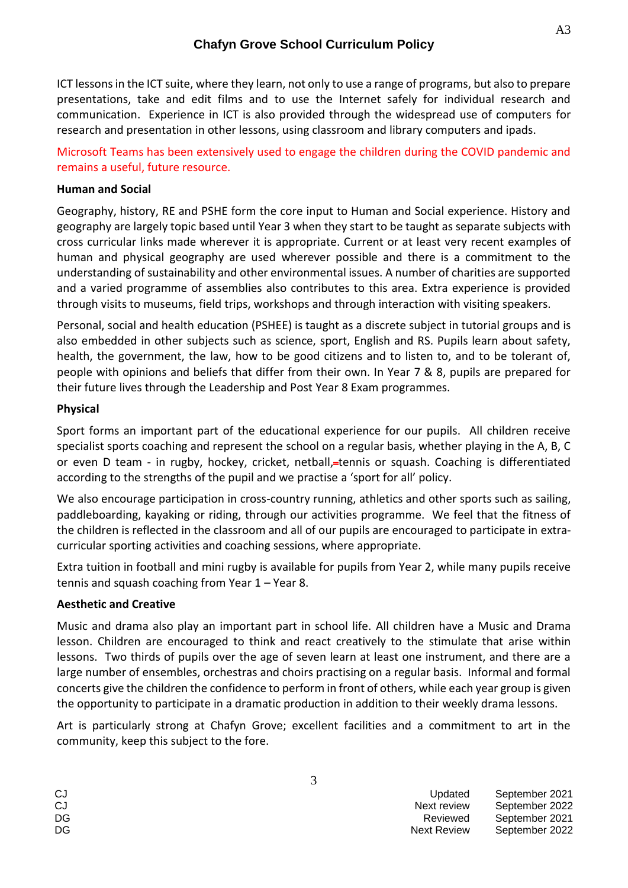## **Chafyn Grove School Curriculum Policy**

ICT lessons in the ICT suite, where they learn, not only to use a range of programs, but also to prepare presentations, take and edit films and to use the Internet safely for individual research and communication. Experience in ICT is also provided through the widespread use of computers for research and presentation in other lessons, using classroom and library computers and ipads.

Microsoft Teams has been extensively used to engage the children during the COVID pandemic and remains a useful, future resource.

### **Human and Social**

Geography, history, RE and PSHE form the core input to Human and Social experience. History and geography are largely topic based until Year 3 when they start to be taught as separate subjects with cross curricular links made wherever it is appropriate. Current or at least very recent examples of human and physical geography are used wherever possible and there is a commitment to the understanding of sustainability and other environmental issues. A number of charities are supported and a varied programme of assemblies also contributes to this area. Extra experience is provided through visits to museums, field trips, workshops and through interaction with visiting speakers.

Personal, social and health education (PSHEE) is taught as a discrete subject in tutorial groups and is also embedded in other subjects such as science, sport, English and RS. Pupils learn about safety, health, the government, the law, how to be good citizens and to listen to, and to be tolerant of, people with opinions and beliefs that differ from their own. In Year 7 & 8, pupils are prepared for their future lives through the Leadership and Post Year 8 Exam programmes.

### **Physical**

Sport forms an important part of the educational experience for our pupils. All children receive specialist sports coaching and represent the school on a regular basis, whether playing in the A, B, C or even D team - in rugby, hockey, cricket, netball, tennis or squash. Coaching is differentiated according to the strengths of the pupil and we practise a 'sport for all' policy.

We also encourage participation in cross-country running, athletics and other sports such as sailing, paddleboarding, kayaking or riding, through our activities programme. We feel that the fitness of the children is reflected in the classroom and all of our pupils are encouraged to participate in extracurricular sporting activities and coaching sessions, where appropriate.

Extra tuition in football and mini rugby is available for pupils from Year 2, while many pupils receive tennis and squash coaching from Year  $1 -$  Year 8.

### **Aesthetic and Creative**

Music and drama also play an important part in school life. All children have a Music and Drama lesson. Children are encouraged to think and react creatively to the stimulate that arise within lessons. Two thirds of pupils over the age of seven learn at least one instrument, and there are a large number of ensembles, orchestras and choirs practising on a regular basis. Informal and formal concerts give the children the confidence to perform in front of others, while each year group is given the opportunity to participate in a dramatic production in addition to their weekly drama lessons.

Art is particularly strong at Chafyn Grove; excellent facilities and a commitment to art in the community, keep this subject to the fore.

| CJ | Updated            | September 2021 |
|----|--------------------|----------------|
| CJ | Next review        | September 2022 |
| DG | Reviewed           | September 2021 |
| DG | <b>Next Review</b> | September 2022 |

A3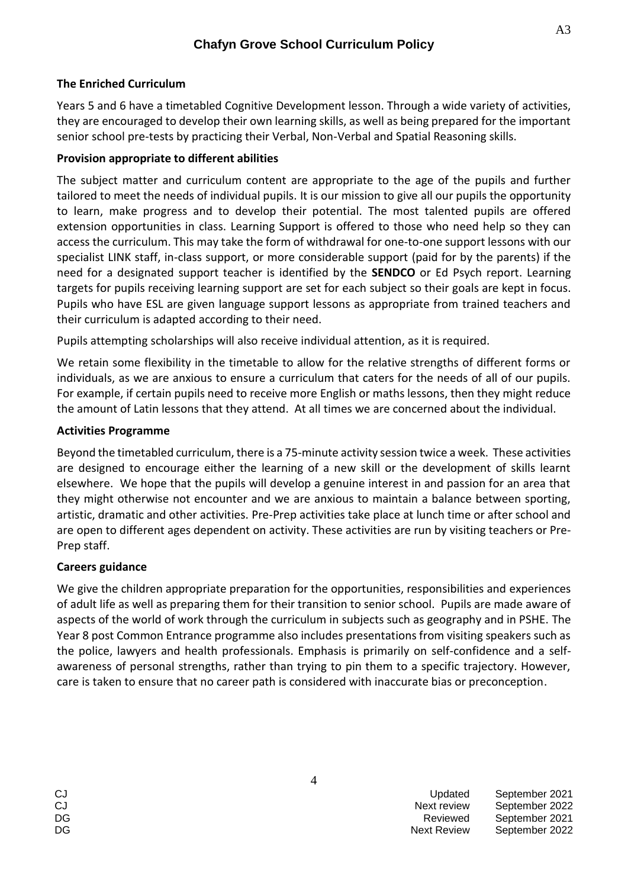### **The Enriched Curriculum**

Years 5 and 6 have a timetabled Cognitive Development lesson. Through a wide variety of activities, they are encouraged to develop their own learning skills, as well as being prepared for the important senior school pre-tests by practicing their Verbal, Non-Verbal and Spatial Reasoning skills.

### **Provision appropriate to different abilities**

The subject matter and curriculum content are appropriate to the age of the pupils and further tailored to meet the needs of individual pupils. It is our mission to give all our pupils the opportunity to learn, make progress and to develop their potential. The most talented pupils are offered extension opportunities in class. Learning Support is offered to those who need help so they can access the curriculum. This may take the form of withdrawal for one-to-one support lessons with our specialist LINK staff, in-class support, or more considerable support (paid for by the parents) if the need for a designated support teacher is identified by the **SENDCO** or Ed Psych report. Learning targets for pupils receiving learning support are set for each subject so their goals are kept in focus. Pupils who have ESL are given language support lessons as appropriate from trained teachers and their curriculum is adapted according to their need.

Pupils attempting scholarships will also receive individual attention, as it is required.

We retain some flexibility in the timetable to allow for the relative strengths of different forms or individuals, as we are anxious to ensure a curriculum that caters for the needs of all of our pupils. For example, if certain pupils need to receive more English or maths lessons, then they might reduce the amount of Latin lessons that they attend. At all times we are concerned about the individual.

### **Activities Programme**

Beyond the timetabled curriculum, there is a 75-minute activity session twice a week. These activities are designed to encourage either the learning of a new skill or the development of skills learnt elsewhere. We hope that the pupils will develop a genuine interest in and passion for an area that they might otherwise not encounter and we are anxious to maintain a balance between sporting, artistic, dramatic and other activities. Pre-Prep activities take place at lunch time or after school and are open to different ages dependent on activity. These activities are run by visiting teachers or Pre-Prep staff.

### **Careers guidance**

We give the children appropriate preparation for the opportunities, responsibilities and experiences of adult life as well as preparing them for their transition to senior school. Pupils are made aware of aspects of the world of work through the curriculum in subjects such as geography and in PSHE. The Year 8 post Common Entrance programme also includes presentations from visiting speakers such as the police, lawyers and health professionals. Emphasis is primarily on self-confidence and a selfawareness of personal strengths, rather than trying to pin them to a specific trajectory. However, care is taken to ensure that no career path is considered with inaccurate bias or preconception.